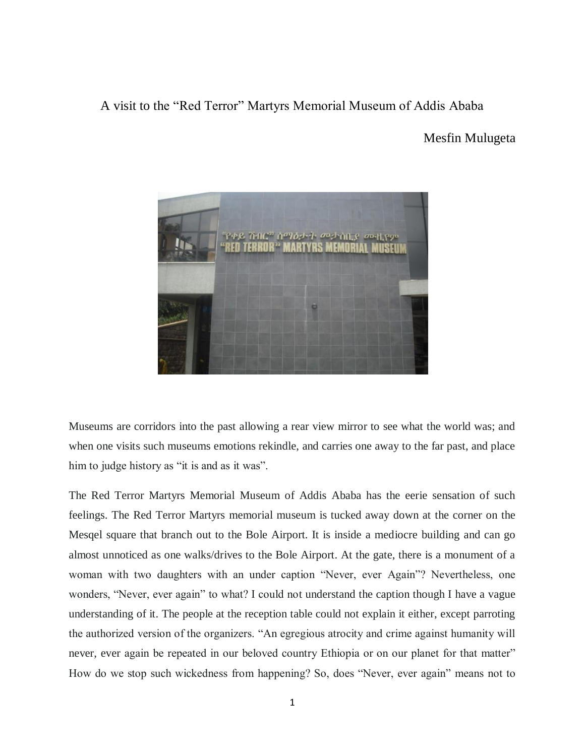## A visit to the "Red Terror" Martyrs Memorial Museum of Addis Ababa

## Mesfin Mulugeta



Museums are corridors into the past allowing a rear view mirror to see what the world was; and when one visits such museums emotions rekindle, and carries one away to the far past, and place him to judge history as "it is and as it was".

The Red Terror Martyrs Memorial Museum of Addis Ababa has the eerie sensation of such feelings. The Red Terror Martyrs memorial museum is tucked away down at the corner on the Mesqel square that branch out to the Bole Airport. It is inside a mediocre building and can go almost unnoticed as one walks/drives to the Bole Airport. At the gate, there is a monument of a woman with two daughters with an under caption "Never, ever Again"? Nevertheless, one wonders, "Never, ever again" to what? I could not understand the caption though I have a vague understanding of it. The people at the reception table could not explain it either, except parroting the authorized version of the organizers. "An egregious atrocity and crime against humanity will never, ever again be repeated in our beloved country Ethiopia or on our planet for that matter" How do we stop such wickedness from happening? So, does "Never, ever again" means not to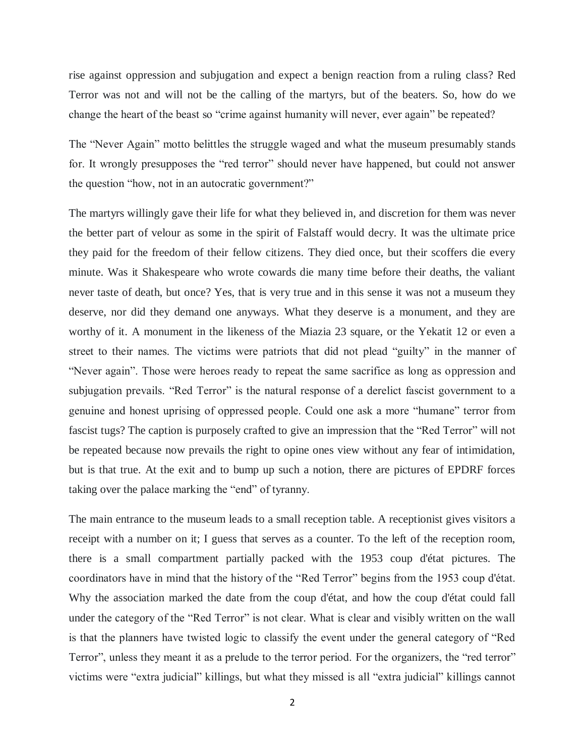rise against oppression and subjugation and expect a benign reaction from a ruling class? Red Terror was not and will not be the calling of the martyrs, but of the beaters. So, how do we change the heart of the beast so "crime against humanity will never, ever again" be repeated?

The "Never Again" motto belittles the struggle waged and what the museum presumably stands for. It wrongly presupposes the "red terror" should never have happened, but could not answer the question "how, not in an autocratic government?"

The martyrs willingly gave their life for what they believed in, and discretion for them was never the better part of velour as some in the spirit of Falstaff would decry. It was the ultimate price they paid for the freedom of their fellow citizens. They died once, but their scoffers die every minute. Was it Shakespeare who wrote cowards die many time before their deaths, the valiant never taste of death, but once? Yes, that is very true and in this sense it was not a museum they deserve, nor did they demand one anyways. What they deserve is a monument, and they are worthy of it. A monument in the likeness of the Miazia 23 square, or the Yekatit 12 or even a street to their names. The victims were patriots that did not plead "guilty" in the manner of "Never again". Those were heroes ready to repeat the same sacrifice as long as oppression and subjugation prevails. "Red Terror" is the natural response of a derelict fascist government to a genuine and honest uprising of oppressed people. Could one ask a more "humane" terror from fascist tugs? The caption is purposely crafted to give an impression that the "Red Terror" will not be repeated because now prevails the right to opine ones view without any fear of intimidation, but is that true. At the exit and to bump up such a notion, there are pictures of EPDRF forces taking over the palace marking the "end" of tyranny.

The main entrance to the museum leads to a small reception table. A receptionist gives visitors a receipt with a number on it; I guess that serves as a counter. To the left of the reception room, there is a small compartment partially packed with the 1953 coup d'état pictures. The coordinators have in mind that the history of the "Red Terror" begins from the 1953 coup d'état. Why the association marked the date from the coup d'état, and how the coup d'état could fall under the category of the "Red Terror" is not clear. What is clear and visibly written on the wall is that the planners have twisted logic to classify the event under the general category of "Red Terror", unless they meant it as a prelude to the terror period. For the organizers, the "red terror" victims were "extra judicial" killings, but what they missed is all "extra judicial" killings cannot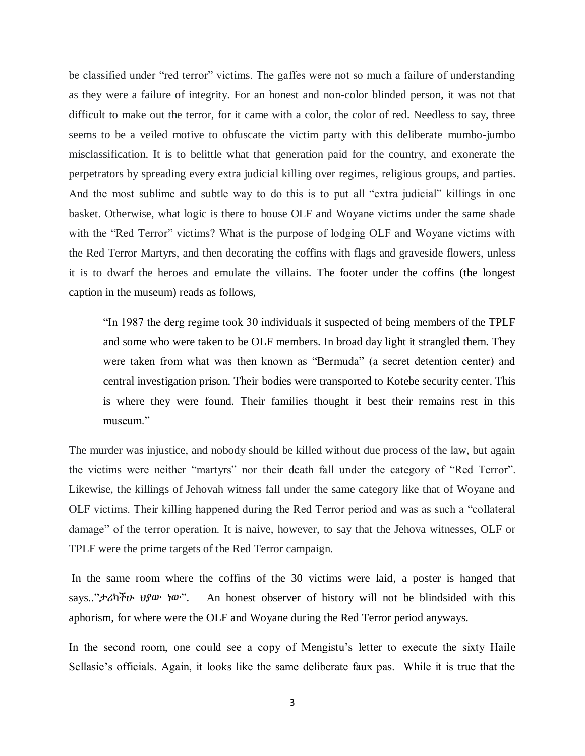be classified under "red terror" victims. The gaffes were not so much a failure of understanding as they were a failure of integrity. For an honest and non-color blinded person, it was not that difficult to make out the terror, for it came with a color, the color of red. Needless to say, three seems to be a veiled motive to obfuscate the victim party with this deliberate mumbo-jumbo misclassification. It is to belittle what that generation paid for the country, and exonerate the perpetrators by spreading every extra judicial killing over regimes, religious groups, and parties. And the most sublime and subtle way to do this is to put all "extra judicial" killings in one basket. Otherwise, what logic is there to house OLF and Woyane victims under the same shade with the "Red Terror" victims? What is the purpose of lodging OLF and Woyane victims with the Red Terror Martyrs, and then decorating the coffins with flags and graveside flowers, unless it is to dwarf the heroes and emulate the villains. The footer under the coffins (the longest caption in the museum) reads as follows,

"In 1987 the derg regime took 30 individuals it suspected of being members of the TPLF and some who were taken to be OLF members. In broad day light it strangled them. They were taken from what was then known as "Bermuda" (a secret detention center) and central investigation prison. Their bodies were transported to Kotebe security center. This is where they were found. Their families thought it best their remains rest in this museum."

The murder was injustice, and nobody should be killed without due process of the law, but again the victims were neither "martyrs" nor their death fall under the category of "Red Terror". Likewise, the killings of Jehovah witness fall under the same category like that of Woyane and OLF victims. Their killing happened during the Red Terror period and was as such a "collateral damage" of the terror operation. It is naive, however, to say that the Jehova witnesses, OLF or TPLF were the prime targets of the Red Terror campaign.

In the same room where the coffins of the 30 victims were laid, a poster is hanged that says.."ታሪካችሁ ህያው ነው". An honest observer of history will not be blindsided with this aphorism, for where were the OLF and Woyane during the Red Terror period anyways.

In the second room, one could see a copy of Mengistu's letter to execute the sixty Haile Sellasie's officials. Again, it looks like the same deliberate faux pas. While it is true that the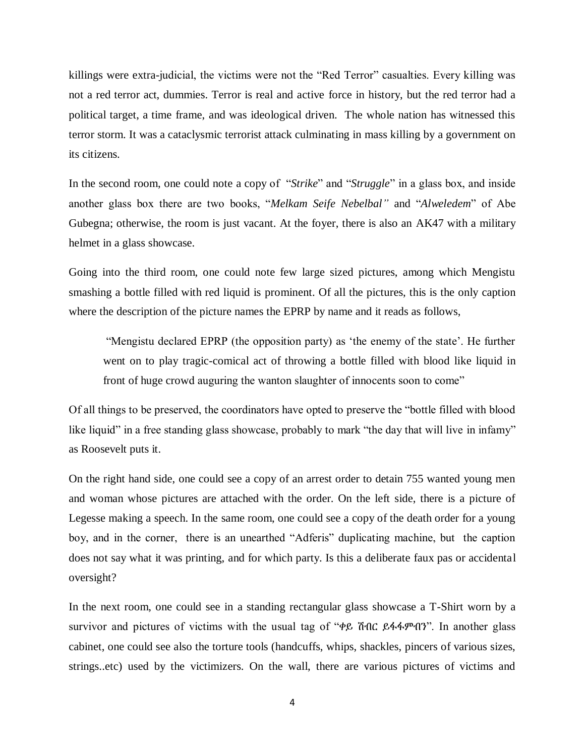killings were extra-judicial, the victims were not the "Red Terror" casualties. Every killing was not a red terror act, dummies. Terror is real and active force in history, but the red terror had a political target, a time frame, and was ideological driven. The whole nation has witnessed this terror storm. It was a cataclysmic terrorist attack culminating in mass killing by a government on its citizens.

In the second room, one could note a copy of "*Strike*" and "*Struggle*" in a glass box, and inside another glass box there are two books, "*Melkam Seife Nebelbal"* and "*Alweledem*" of Abe Gubegna; otherwise, the room is just vacant. At the foyer, there is also an AK47 with a military helmet in a glass showcase.

Going into the third room, one could note few large sized pictures, among which Mengistu smashing a bottle filled with red liquid is prominent. Of all the pictures, this is the only caption where the description of the picture names the EPRP by name and it reads as follows,

"Mengistu declared EPRP (the opposition party) as 'the enemy of the state'. He further went on to play tragic-comical act of throwing a bottle filled with blood like liquid in front of huge crowd auguring the wanton slaughter of innocents soon to come"

Of all things to be preserved, the coordinators have opted to preserve the "bottle filled with blood like liquid" in a free standing glass showcase, probably to mark "the day that will live in infamy" as Roosevelt puts it.

On the right hand side, one could see a copy of an arrest order to detain 755 wanted young men and woman whose pictures are attached with the order. On the left side, there is a picture of Legesse making a speech. In the same room, one could see a copy of the death order for a young boy, and in the corner, there is an unearthed "Adferis" duplicating machine, but the caption does not say what it was printing, and for which party. Is this a deliberate faux pas or accidental oversight?

In the next room, one could see in a standing rectangular glass showcase a T-Shirt worn by a survivor and pictures of victims with the usual tag of "ቀይ ሽብር ይፋፋምብን". In another glass cabinet, one could see also the torture tools (handcuffs, whips, shackles, pincers of various sizes, strings..etc) used by the victimizers. On the wall, there are various pictures of victims and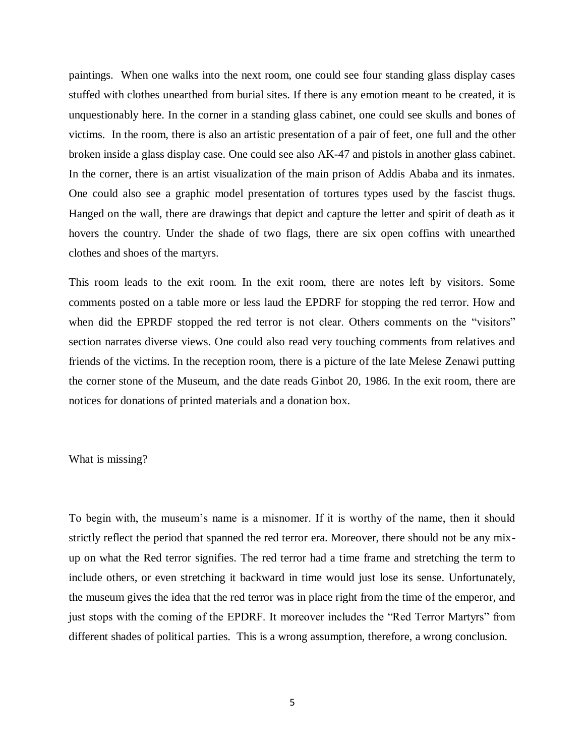paintings. When one walks into the next room, one could see four standing glass display cases stuffed with clothes unearthed from burial sites. If there is any emotion meant to be created, it is unquestionably here. In the corner in a standing glass cabinet, one could see skulls and bones of victims. In the room, there is also an artistic presentation of a pair of feet, one full and the other broken inside a glass display case. One could see also AK-47 and pistols in another glass cabinet. In the corner, there is an artist visualization of the main prison of Addis Ababa and its inmates. One could also see a graphic model presentation of tortures types used by the fascist thugs. Hanged on the wall, there are drawings that depict and capture the letter and spirit of death as it hovers the country. Under the shade of two flags, there are six open coffins with unearthed clothes and shoes of the martyrs.

This room leads to the exit room. In the exit room, there are notes left by visitors. Some comments posted on a table more or less laud the EPDRF for stopping the red terror. How and when did the EPRDF stopped the red terror is not clear. Others comments on the "visitors" section narrates diverse views. One could also read very touching comments from relatives and friends of the victims. In the reception room, there is a picture of the late Melese Zenawi putting the corner stone of the Museum, and the date reads Ginbot 20, 1986. In the exit room, there are notices for donations of printed materials and a donation box.

## What is missing?

To begin with, the museum's name is a misnomer. If it is worthy of the name, then it should strictly reflect the period that spanned the red terror era. Moreover, there should not be any mixup on what the Red terror signifies. The red terror had a time frame and stretching the term to include others, or even stretching it backward in time would just lose its sense. Unfortunately, the museum gives the idea that the red terror was in place right from the time of the emperor, and just stops with the coming of the EPDRF. It moreover includes the "Red Terror Martyrs" from different shades of political parties. This is a wrong assumption, therefore, a wrong conclusion.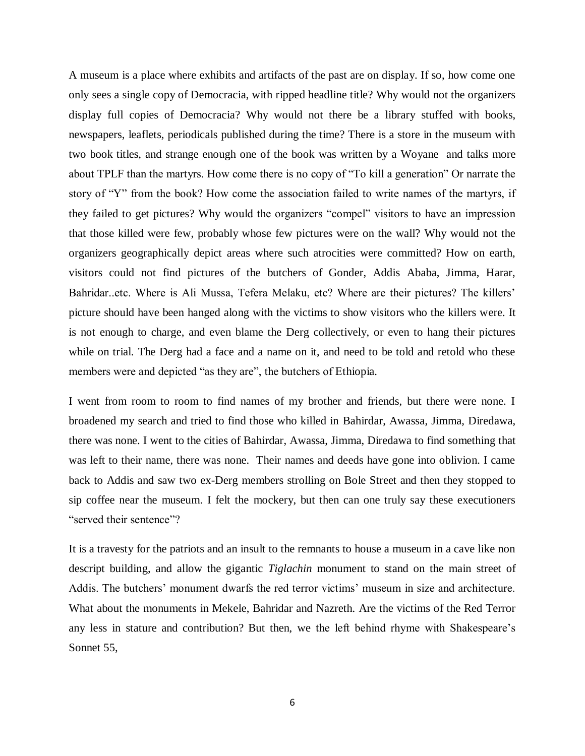A museum is a place where exhibits and artifacts of the past are on display. If so, how come one only sees a single copy of Democracia, with ripped headline title? Why would not the organizers display full copies of Democracia? Why would not there be a library stuffed with books, newspapers, leaflets, periodicals published during the time? There is a store in the museum with two book titles, and strange enough one of the book was written by a Woyane and talks more about TPLF than the martyrs. How come there is no copy of "To kill a generation" Or narrate the story of "Y" from the book? How come the association failed to write names of the martyrs, if they failed to get pictures? Why would the organizers "compel" visitors to have an impression that those killed were few, probably whose few pictures were on the wall? Why would not the organizers geographically depict areas where such atrocities were committed? How on earth, visitors could not find pictures of the butchers of Gonder, Addis Ababa, Jimma, Harar, Bahridar..etc. Where is Ali Mussa, Tefera Melaku, etc? Where are their pictures? The killers' picture should have been hanged along with the victims to show visitors who the killers were. It is not enough to charge, and even blame the Derg collectively, or even to hang their pictures while on trial. The Derg had a face and a name on it, and need to be told and retold who these members were and depicted "as they are", the butchers of Ethiopia.

I went from room to room to find names of my brother and friends, but there were none. I broadened my search and tried to find those who killed in Bahirdar, Awassa, Jimma, Diredawa, there was none. I went to the cities of Bahirdar, Awassa, Jimma, Diredawa to find something that was left to their name, there was none. Their names and deeds have gone into oblivion. I came back to Addis and saw two ex-Derg members strolling on Bole Street and then they stopped to sip coffee near the museum. I felt the mockery, but then can one truly say these executioners "served their sentence"?

It is a travesty for the patriots and an insult to the remnants to house a museum in a cave like non descript building, and allow the gigantic *Tiglachin* monument to stand on the main street of Addis. The butchers' monument dwarfs the red terror victims' museum in size and architecture. What about the monuments in Mekele, Bahridar and Nazreth. Are the victims of the Red Terror any less in stature and contribution? But then, we the left behind rhyme with Shakespeare's Sonnet 55,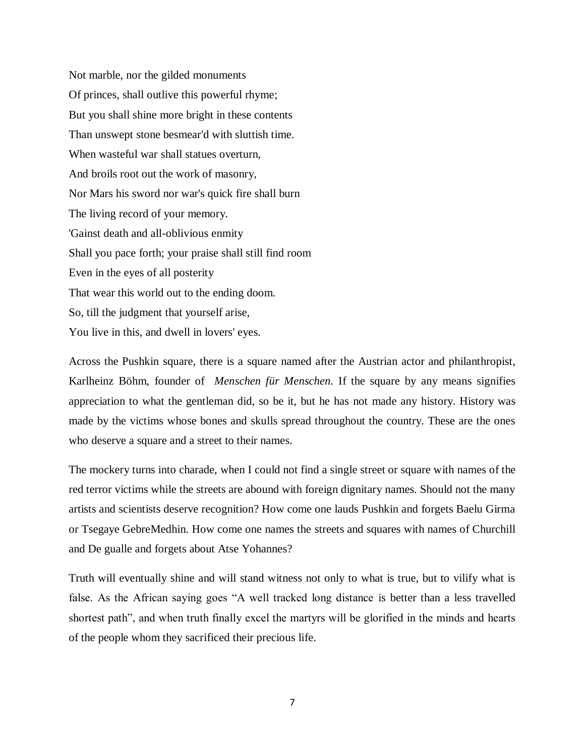Not marble, nor the gilded monuments Of princes, shall outlive this powerful rhyme; But you shall shine more bright in these contents Than unswept stone besmear'd with sluttish time. When wasteful war shall statues overturn, And broils root out the work of masonry, Nor Mars his sword nor war's quick fire shall burn The living record of your memory. 'Gainst death and all-oblivious enmity Shall you pace forth; your praise shall still find room Even in the eyes of all posterity That wear this world out to the ending doom. So, till the judgment that yourself arise, You live in this, and dwell in lovers' eyes.

Across the Pushkin square, there is a square named after the Austrian actor and philanthropist, Karlheinz Böhm, founder of *Menschen für Menschen*. If the square by any means signifies appreciation to what the gentleman did, so be it, but he has not made any history. History was made by the victims whose bones and skulls spread throughout the country. These are the ones who deserve a square and a street to their names.

The mockery turns into charade, when I could not find a single street or square with names of the red terror victims while the streets are abound with foreign dignitary names. Should not the many artists and scientists deserve recognition? How come one lauds Pushkin and forgets Baelu Girma or Tsegaye GebreMedhin. How come one names the streets and squares with names of Churchill and De gualle and forgets about Atse Yohannes?

Truth will eventually shine and will stand witness not only to what is true, but to vilify what is false. As the African saying goes "A well tracked long distance is better than a less travelled shortest path", and when truth finally excel the martyrs will be glorified in the minds and hearts of the people whom they sacrificed their precious life.